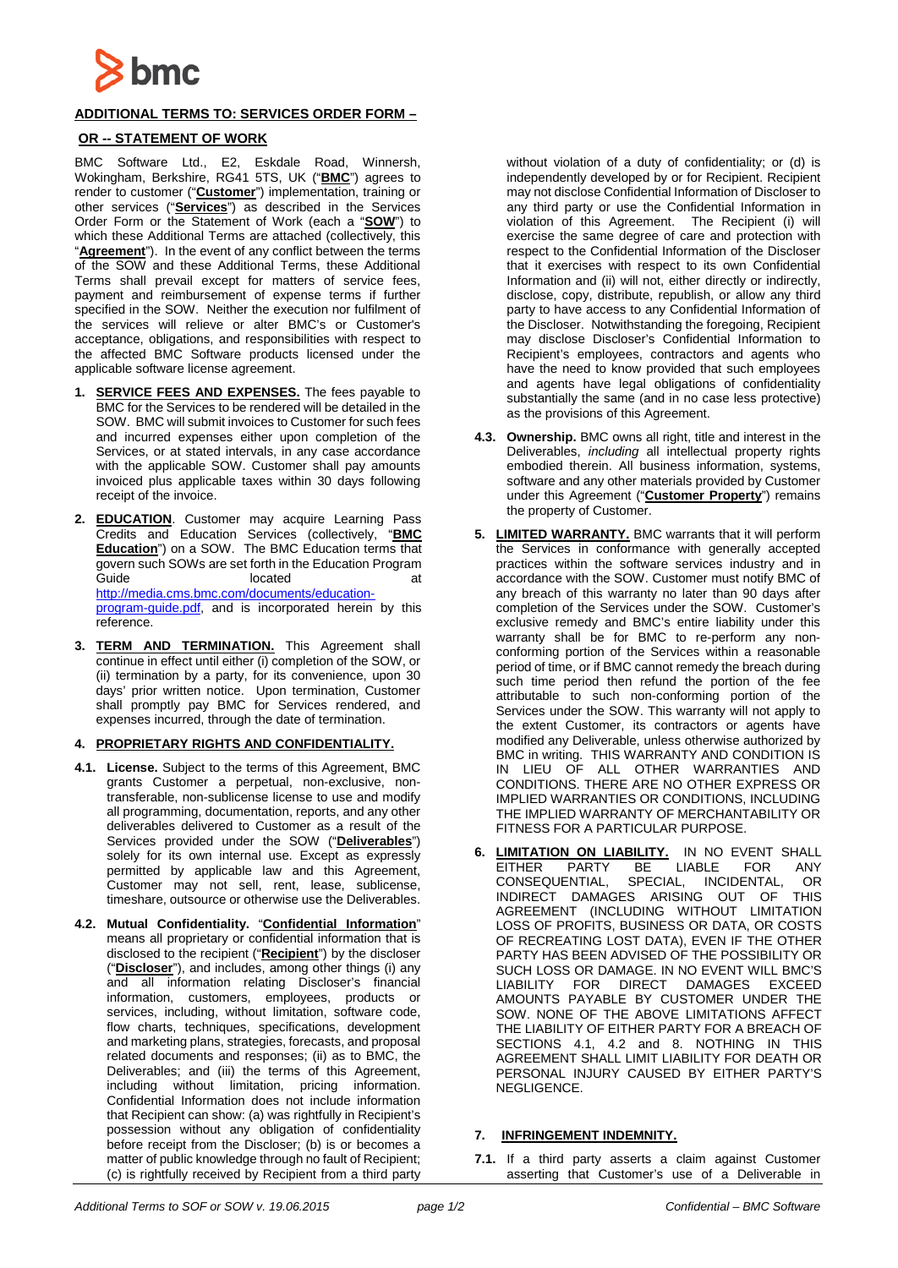

# **ADDITIONAL TERMS TO: SERVICES ORDER FORM –**

## **OR -- STATEMENT OF WORK**

BMC Software Ltd., E2, Eskdale Road, Winnersh, Wokingham, Berkshire, RG41 5TS, UK ("**BMC**") agrees to render to customer ("**Customer**") implementation, training or other services ("**Services**") as described in the Services Order Form or the Statement of Work (each a "**SOW**") to which these Additional Terms are attached (collectively, this "**Agreement**"). In the event of any conflict between the terms of the SOW and these Additional Terms, these Additional Terms shall prevail except for matters of service fees, payment and reimbursement of expense terms if further specified in the SOW. Neither the execution nor fulfilment of the services will relieve or alter BMC's or Customer's acceptance, obligations, and responsibilities with respect to the affected BMC Software products licensed under the applicable software license agreement.

- **1. SERVICE FEES AND EXPENSES.** The fees payable to BMC for the Services to be rendered will be detailed in the SOW. BMC will submit invoices to Customer for such fees and incurred expenses either upon completion of the Services, or at stated intervals, in any case accordance with the applicable SOW. Customer shall pay amounts invoiced plus applicable taxes within 30 days following receipt of the invoice.
- **2. EDUCATION**. Customer may acquire Learning Pass Credits and Education Services (collectively, "**BMC Education**") on a SOW. The BMC Education terms that govern such SOWs are set forth in the Education Program Guide located [http://media.cms.bmc.com/documents/education](http://media.cms.bmc.com/documents/education-program-guide.pdf)[program-guide.pdf,](http://media.cms.bmc.com/documents/education-program-guide.pdf) and is incorporated herein by this reference.
- **3. TERM AND TERMINATION.** This Agreement shall continue in effect until either (i) completion of the SOW, or (ii) termination by a party, for its convenience, upon 30 days' prior written notice. Upon termination, Customer shall promptly pay BMC for Services rendered, and expenses incurred, through the date of termination.

### **4. PROPRIETARY RIGHTS AND CONFIDENTIALITY.**

- **4.1. License.** Subject to the terms of this Agreement, BMC grants Customer a perpetual, non-exclusive, nontransferable, non-sublicense license to use and modify all programming, documentation, reports, and any other deliverables delivered to Customer as a result of the Services provided under the SOW ("**Deliverables**") solely for its own internal use. Except as expressly permitted by applicable law and this Agreement, Customer may not sell, rent, lease, sublicense, timeshare, outsource or otherwise use the Deliverables.
- **4.2. Mutual Confidentiality.** "**Confidential Information**" means all proprietary or confidential information that is disclosed to the recipient ("**Recipient**") by the discloser ("**Discloser**"), and includes, among other things (i) any and all information relating Discloser's financial information, customers, employees, products or services, including, without limitation, software code, flow charts, techniques, specifications, development and marketing plans, strategies, forecasts, and proposal related documents and responses; (ii) as to BMC, the Deliverables; and (iii) the terms of this Agreement, including without limitation, pricing information. Confidential Information does not include information that Recipient can show: (a) was rightfully in Recipient's possession without any obligation of confidentiality before receipt from the Discloser; (b) is or becomes a matter of public knowledge through no fault of Recipient; (c) is rightfully received by Recipient from a third party

without violation of a duty of confidentiality; or (d) is independently developed by or for Recipient. Recipient may not disclose Confidential Information of Discloser to any third party or use the Confidential Information in violation of this Agreement. The Recipient (i) will exercise the same degree of care and protection with respect to the Confidential Information of the Discloser that it exercises with respect to its own Confidential Information and (ii) will not, either directly or indirectly, disclose, copy, distribute, republish, or allow any third party to have access to any Confidential Information of the Discloser. Notwithstanding the foregoing, Recipient may disclose Discloser's Confidential Information to Recipient's employees, contractors and agents who have the need to know provided that such employees and agents have legal obligations of confidentiality substantially the same (and in no case less protective) as the provisions of this Agreement.

- **4.3. Ownership.** BMC owns all right, title and interest in the Deliverables, *including* all intellectual property rights embodied therein. All business information, systems, software and any other materials provided by Customer under this Agreement ("**Customer Property**") remains the property of Customer.
- **5. LIMITED WARRANTY.** BMC warrants that it will perform the Services in conformance with generally accepted practices within the software services industry and in accordance with the SOW. Customer must notify BMC of any breach of this warranty no later than 90 days after completion of the Services under the SOW. Customer's exclusive remedy and BMC's entire liability under this warranty shall be for BMC to re-perform any nonconforming portion of the Services within a reasonable period of time, or if BMC cannot remedy the breach during such time period then refund the portion of the fee attributable to such non-conforming portion of the Services under the SOW. This warranty will not apply to the extent Customer, its contractors or agents have modified any Deliverable, unless otherwise authorized by BMC in writing. THIS WARRANTY AND CONDITION IS IN LIEU OF ALL OTHER WARRANTIES AND CONDITIONS. THERE ARE NO OTHER EXPRESS OR IMPLIED WARRANTIES OR CONDITIONS, INCLUDING THE IMPLIED WARRANTY OF MERCHANTABILITY OR FITNESS FOR A PARTICULAR PURPOSE.
- **6. LIMITATION ON LIABILITY.** IN NO EVENT SHALL EITHER PARTY BE LIABLE FOR ANY CONSEQUENTIAL, SPECIAL, INCIDENTAL, OR<br>INDIRECT DAMAGES ARISING OUT OF THIS INDIRECT DAMAGES ARISING OUT OF AGREEMENT (INCLUDING WITHOUT LIMITATION LOSS OF PROFITS, BUSINESS OR DATA, OR COSTS OF RECREATING LOST DATA), EVEN IF THE OTHER PARTY HAS BEEN ADVISED OF THE POSSIBILITY OR SUCH LOSS OR DAMAGE. IN NO EVENT WILL BMC'S LIABILITY FOR DIRECT DAMAGES EXCEED AMOUNTS PAYABLE BY CUSTOMER UNDER THE SOW. NONE OF THE ABOVE LIMITATIONS AFFECT THE LIABILITY OF EITHER PARTY FOR A BREACH OF SECTIONS 4.1, 4.2 and 8. NOTHING IN THIS AGREEMENT SHALL LIMIT LIABILITY FOR DEATH OR PERSONAL INJURY CAUSED BY EITHER PARTY'S NEGLIGENCE.

### **7. INFRINGEMENT INDEMNITY.**

**7.1.** If a third party asserts a claim against Customer asserting that Customer's use of a Deliverable in